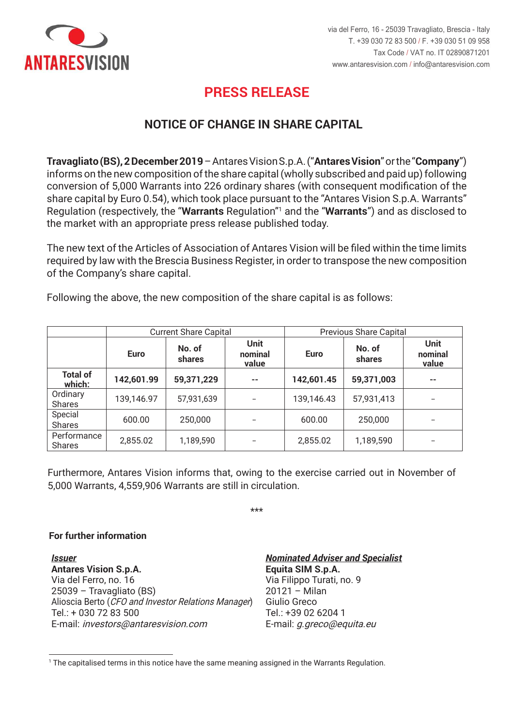

## **PRESS RELEASE PRESS RELEASE**

## **NOTICE OF CHANGE IN SHARE CAPITAL**

Travagliato (BS), 2 December 2019 - Antares Vision S.p.A. ("Antares Vision" or the "Company") informs on the new composition of the share capital (wholly subscribed and paid up) following conversion of 5,000 Warrants into 226 ordinary shares (with consequent modification of the share capital by Euro 0.54), which took place pursuant to the "Antares Vision S.p.A. Warrants" Regulation (respectively, the "Warrants Regulation"<sup>1</sup> and the "Warrants") and as disclosed to the market with an appropriate press release published today.

The new text of the Articles of Association of Antares Vision will be filed within the time limits required by law with the Brescia Business Register, in order to transpose the new composition of the Company's share capital.

Following the above, the new composition of the share capital is as follows:

|                              | <b>Current Share Capital</b> |                  |                          | <b>Previous Share Capital</b> |                  |                                 |
|------------------------------|------------------------------|------------------|--------------------------|-------------------------------|------------------|---------------------------------|
|                              | <b>Euro</b>                  | No. of<br>shares | Unit<br>nominal<br>value | <b>Euro</b>                   | No. of<br>shares | <b>Unit</b><br>nominal<br>value |
| <b>Total of</b><br>which:    | 142,601.99                   | 59,371,229       | $- -$                    | 142,601.45                    | 59,371,003       | --                              |
| Ordinary<br><b>Shares</b>    | 139,146.97                   | 57,931,639       | --                       | 139,146.43                    | 57,931,413       | --                              |
| Special<br><b>Shares</b>     | 600.00                       | 250,000          |                          | 600.00                        | 250,000          | --                              |
| Performance<br><b>Shares</b> | 2,855.02                     | 1,189,590        |                          | 2,855.02                      | 1,189,590        |                                 |

Furthermore, Antares Vision informs that, owing to the exercise carried out in November of 5,000 Warrants, 4,559,906 Warrants are still in circulation.

\*\*\* \*\*\*

## **For further information**

*Emittente Issuer* **Antares Vision S.p.A. Antares Vision S.p.A.**  Via del Ferro, no. 16 25039 – Travagliato (BS) 25039 – Travagliato (BS) Alioscia Berto (CFO and Investor Relations Manager) Tel.: + 030 72 83 500 Tel.: + 030 72 83 500 E-mail: *investors@antaresvision.com*  E-mail: investors@antaresvision.com

*Nominated Adviser e Specialista Nominated Adviser and Specialist* **Equita SIM S.p.A. Equita SIM S.p.A.**  Via Filippo Turati, no. 9  $20121 -$  Milan Giulio Greco Giulio Greco Tel.: +39 02 6204 1 Tel.: +39 02 6204 1 E-mail: *g.greco@equita.eu* E-mail: g.greco@equita.eu

 $^1$  The capitalised terms in this notice have the same meaning assigned in the Warrants Regulation.